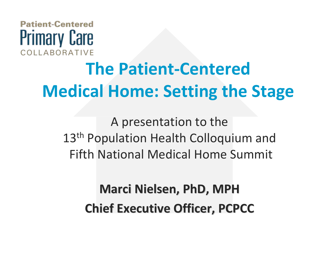### **Patient-Centered Primary Care** COLLABORATIVE

# **The Patient‐CenteredMedical Home: Setting the Stage**

A presentation to the 13<sup>th</sup> Population Health Colloquium and Fifth National Medical Home Summit

> **Marci Nielsen, Nielsen, PhD, MPH Chief Executive Executive Officer, Officer, PCPCC**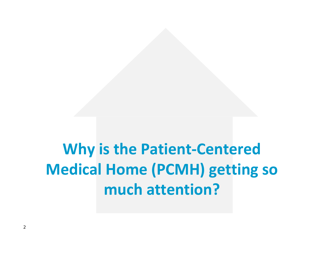# **Why is the Patient‐Centered Medical Home (PCMH) getting so much attention?**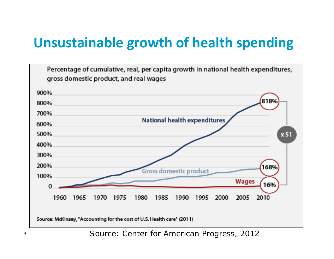## **Unsustainable growth of health spending**



Source: Center for American Progress, 2012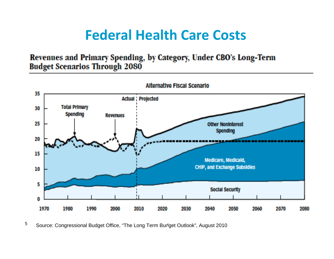### **Federal Health Care Costs**

#### Revenues and Primary Spending, by Category, Under CBO's Long-Term **Budget Scenarios Through 2080**



Source: Congressional Budget Office, "The Long Term Budget Outlook", August 2010 **4**5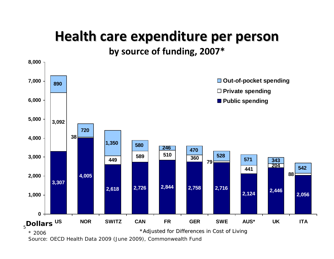### **Health care expenditure expenditure per person**

**by source of funding, 2007\***



Source: OECD Health Data 2009 (June 2009), Commonwealth Fund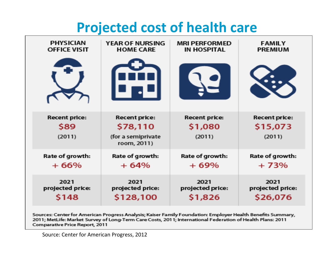### **Projected cost of health care**

| <b>PHYSICIAN</b>                       | <b>YEAR OF NURSING</b>                                                | <b>MRI PERFORMED</b>                      | <b>FAMILY</b>                              |
|----------------------------------------|-----------------------------------------------------------------------|-------------------------------------------|--------------------------------------------|
| <b>OFFICE VISIT</b>                    | <b>HOME CARE</b>                                                      | <b>IN HOSPITAL</b>                        | <b>PREMIUM</b>                             |
|                                        |                                                                       |                                           |                                            |
| <b>Recent price:</b><br>\$89<br>(2011) | <b>Recent price:</b><br>\$78,110<br>(for a semiprivate<br>room, 2011) | <b>Recent price:</b><br>\$1,080<br>(2011) | <b>Recent price:</b><br>\$15,073<br>(2011) |
| Rate of growth:                        | Rate of growth:                                                       | Rate of growth:                           | Rate of growth:                            |
| $+66%$                                 | $+64%$                                                                | $+69%$                                    | $+73%$                                     |
| 2021                                   | 2021                                                                  | 2021                                      | 2021                                       |
| projected price:                       | projected price:                                                      | projected price:                          | projected price:                           |
| S148                                   | \$128,100                                                             | \$1,826                                   | \$26,076                                   |

Sources: Center for American Progress Analysis; Kaiser Family Foundation: Employer Health Benefits Summary, 2011; MetLife: Market Survey of Long-Term Care Costs, 2011; International Federation of Health Plans: 2011 Comparative Price Report, 2011

Source: Center for American Progress, 2012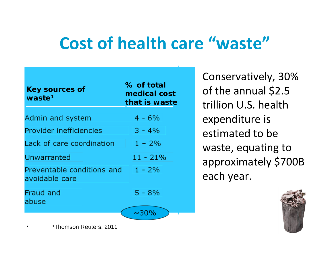# **Cost of health care "waste"**

| <b>Key sources of</b><br>waste <sup>1</sup>  | % of total<br>medical cost<br>that is waste |  |
|----------------------------------------------|---------------------------------------------|--|
| Admin and system                             | $4 - 6\%$                                   |  |
| Provider inefficiencies                      | $3 - 4\%$                                   |  |
| Lack of care coordination                    | $1 - 2\%$                                   |  |
| Unwarranted                                  | $11 - 21\%$                                 |  |
| Preventable conditions and<br>avoidable care | $1 - 2\%$                                   |  |
| Fraud and<br>abuse                           | $5 - 8%$                                    |  |
|                                              | $\sim 30\%$                                 |  |

Conservatively, 30% Conservatively, 30% of the annual \$2.5 of the annual \$2.5 trillion U.S. health trillion U.S. health expenditure is expenditure is estimated to be estimated to be waste, equating to waste, equating to approximately \$700B approximately \$700B each year. each year.



1Thomson Reuters, 2011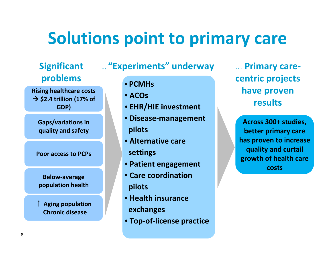# **Solutions point to primary care**

### **Significant problems**

**Rising healthcare costs** Æ **\$2.4 trillion (17% of GDP)**

**Gaps/variations in quality and safety**

**Poor access to PCPs**

**Below‐average population health**

**↑ Aging population Chronic disease**

#### … **"Experiments" underway**

- **PCMHs**
- **ACOs**
- **EHR/HIE investment**
- **Disease‐management pilots**
- **Alternative care settings**
- **Patient engagement**
- **Care coordinationpilots**
- **Health insurance**
- **exchanges**
- **Top‐of‐license practice**

… **Primary care‐ centric projects have proven results**

**Across 300+ studies, better primary care has proven to increase quality and curtail growth of health care costs**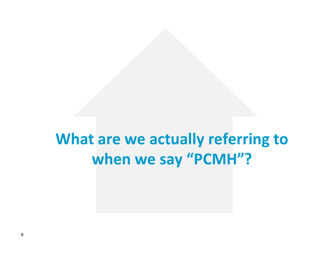## **What are we actually referring to when we say "PCMH"?**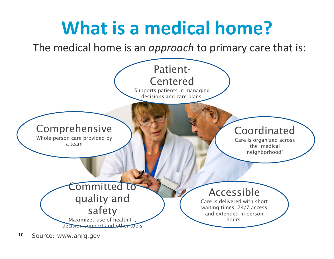#### **What is a medical home?** The medical home is an *approach* to primary care that is: **Committed to** quality and safety Maximizes use of health IT, decision support and other tools AccessibleCare is delivered with short waiting times, 24/7 access and extended in-person hours.Coordinated Care is organized across the 'medical neighborhood' Comprehensive Whole-person care provided by a teamPatient-Centered Supports patients in managing decisions and care plans.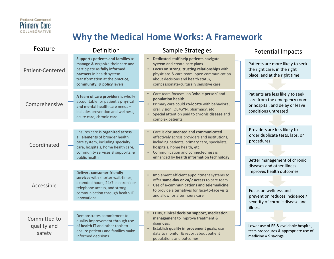

#### **Why the Medical Home Works: A Framework**

| Feature                               | Definition                                                                                                                                                                                           | Sample Strategies                                                                                                                                                                                                                                                       | <b>Potential Impacts</b>                                                                                                                             |
|---------------------------------------|------------------------------------------------------------------------------------------------------------------------------------------------------------------------------------------------------|-------------------------------------------------------------------------------------------------------------------------------------------------------------------------------------------------------------------------------------------------------------------------|------------------------------------------------------------------------------------------------------------------------------------------------------|
| Patient-Centered                      | Supports patients and families to<br>manage & organize their care and<br>participate as fully informed<br>partners in health system<br>transformation at the practice,<br>community, & policy levels | Dedicated staff help patients navigate<br>$\bullet$<br>system and create care plans<br>Focus on strong, trusting relationships with<br>physicians & care team, open communication<br>about decisions and health status,<br>compassionate/culturally sensitive care      | Patients are more likely to seek<br>the right care, in the right<br>place, and at the right time                                                     |
| Comprehensive                         | A team of care providers is wholly<br>accountable for patient's physical<br>and mental health care needs -<br>includes prevention and wellness,<br>acute care, chronic care                          | Care team focuses on 'whole person' and<br>population health<br>• Primary care could co-locate with behavioral,<br>oral, vision, OB/GYN, pharmacy, etc<br>Special attention paid to chronic disease and<br>$\bullet$<br>complex patients                                | Patients are less likely to seek<br>care from the emergency room<br>or hospital, and delay or leave<br>conditions untreated                          |
| Coordinated                           | Ensures care is organized across<br>all elements of broader health<br>care system, including specialty<br>care, hospitals, home health care,<br>community services & supports, &<br>public health    | Care is documented and communicated<br>effectively across providers and institutions,<br>including patients, primary care, specialists,<br>hospitals, home health, etc.<br>Communication and connectedness is<br>$\bullet$<br>enhanced by health information technology | Providers are less likely to<br>order duplicate tests, labs, or<br>procedures<br>Better management of chronic                                        |
| Accessible                            | Delivers consumer-friendly<br>services with shorter wait-times,<br>extended hours, 24/7 electronic or<br>telephone access, and strong<br>communication through health IT<br>innovations              | • Implement efficient appointment systems to<br>offer same-day or 24/7 access to care team<br>Use of e-communications and telemedicine<br>$\bullet$<br>to provide alternatives for face-to-face visits<br>and allow for after hours care                                | diseases and other illness<br>improves health outcomes<br>Focus on wellness and<br>prevention reduces incidence /<br>severity of chronic disease and |
| Committed to<br>quality and<br>safety | Demonstrates commitment to<br>quality improvement through use<br>of health IT and other tools to<br>ensure patients and families make<br>informed decisions                                          | EHRs, clinical decision support, medication<br>management to improve treatment &<br>diagnosis.<br>Establish quality improvement goals; use<br>$\bullet$<br>data to monitor & report about patient<br>populations and outcomes                                           | illness<br>Lower use of ER & avoidable hospital,<br>tests procedures & appropriate use of<br>medicine = $$$ savings                                  |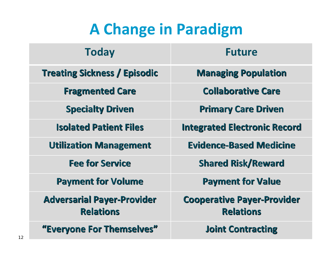# **A Change in Paradigm**

| <b>Today</b>                                          | <b>Future</b>                                         |  |
|-------------------------------------------------------|-------------------------------------------------------|--|
| <b>Treating Sickness / Episodic</b>                   | <b>Managing Population</b>                            |  |
| <b>Fragmented Care</b>                                | <b>Collaborative Care</b>                             |  |
| <b>Specialty Driven</b>                               | <b>Primary Care Driven</b>                            |  |
| <b>Isolated Patient Files</b>                         | <b>Integrated Electronic Record</b>                   |  |
| <b>Utilization Management</b>                         | <b>Evidence-Based Medicine</b>                        |  |
| <b>Fee for Service</b>                                | <b>Shared Risk/Reward</b>                             |  |
| <b>Payment for Volume</b>                             | <b>Payment for Value</b>                              |  |
| <b>Adversarial Payer-Provider</b><br><b>Relations</b> | <b>Cooperative Payer-Provider</b><br><b>Relations</b> |  |
| "Everyone For Themselves"                             | <b>Joint Contracting</b>                              |  |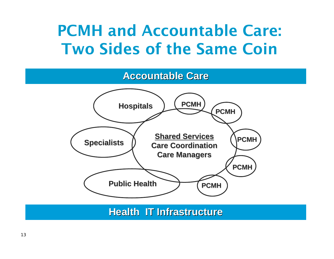## PCMH and Accountable Care: Two Sides of the Same Coin

#### **Accountable Care Accountable Care**



**Health IT Infrastructure Health IT Infrastructure**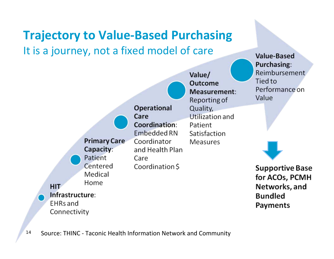### **Trajectory to Value‐Based Purchasing** It is a journey, not <sup>a</sup> fixed model of care



**Value-Based**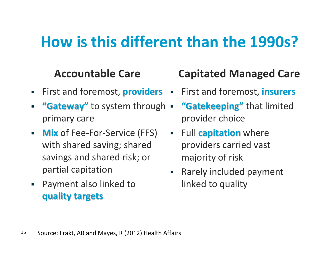# **How is this different than the 1990s?**

### **Accountable Care**

- П **First and foremost, providers =**
- ▉ "Gateway" to system through . primary care
- $\blacksquare$  **Mix** of Fee‐For‐Service (FFS) with shared saving; shared savings and shared risk; or partial capitation
- $\mathcal{L}_{\mathcal{A}}$  Payment also linked to **quality quality targets targets**

### **Capitated Managed Care**

- First and foremost, **insurers insurers**
- **"Gatekeeping"** that limited provider choice
- **Full capitation** where providers carried vast majority of risk
- a s Rarely included payment linked to quality